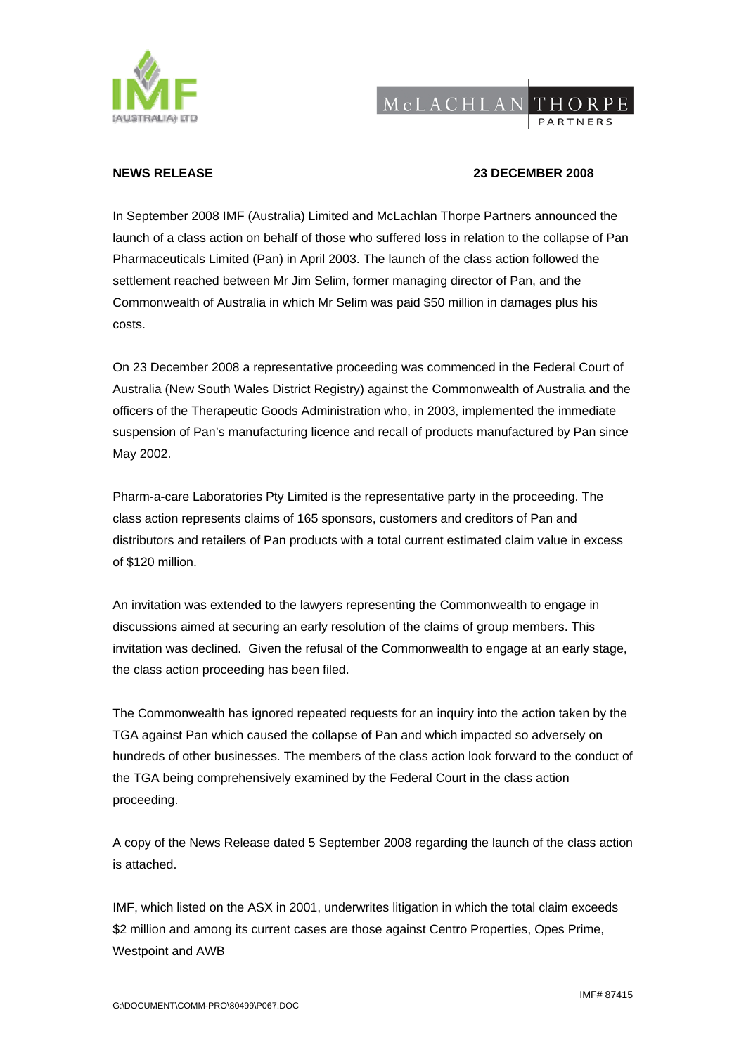

## MCLACHLANTHORPE

## **NEWS RELEASE 23 DECEMBER 2008**

In September 2008 IMF (Australia) Limited and McLachlan Thorpe Partners announced the launch of a class action on behalf of those who suffered loss in relation to the collapse of Pan Pharmaceuticals Limited (Pan) in April 2003. The launch of the class action followed the settlement reached between Mr Jim Selim, former managing director of Pan, and the Commonwealth of Australia in which Mr Selim was paid \$50 million in damages plus his costs.

On 23 December 2008 a representative proceeding was commenced in the Federal Court of Australia (New South Wales District Registry) against the Commonwealth of Australia and the officers of the Therapeutic Goods Administration who, in 2003, implemented the immediate suspension of Pan's manufacturing licence and recall of products manufactured by Pan since May 2002.

Pharm-a-care Laboratories Pty Limited is the representative party in the proceeding. The class action represents claims of 165 sponsors, customers and creditors of Pan and distributors and retailers of Pan products with a total current estimated claim value in excess of \$120 million.

An invitation was extended to the lawyers representing the Commonwealth to engage in discussions aimed at securing an early resolution of the claims of group members. This invitation was declined. Given the refusal of the Commonwealth to engage at an early stage, the class action proceeding has been filed.

The Commonwealth has ignored repeated requests for an inquiry into the action taken by the TGA against Pan which caused the collapse of Pan and which impacted so adversely on hundreds of other businesses. The members of the class action look forward to the conduct of the TGA being comprehensively examined by the Federal Court in the class action proceeding.

A copy of the News Release dated 5 September 2008 regarding the launch of the class action is attached.

IMF, which listed on the ASX in 2001, underwrites litigation in which the total claim exceeds \$2 million and among its current cases are those against Centro Properties, Opes Prime, Westpoint and AWB